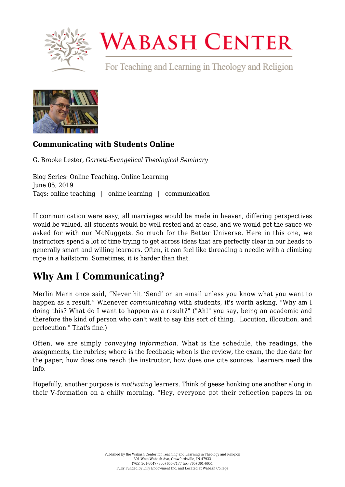

## **WABASH CENTER**

For Teaching and Learning in Theology and Religion



## **[Communicating with Students Online](https://www.wabashcenter.wabash.edu/2019/06/communicating-with-students-online/)**

G. Brooke Lester, *Garrett-Evangelical Theological Seminary*

Blog Series: Online Teaching, Online Learning June 05, 2019 Tags: online teaching | online learning | communication

If communication were easy, all marriages would be made in heaven, differing perspectives would be valued, all students would be well rested and at ease, and we would get the sauce we asked for with our McNuggets. So much for the Better Universe. Here in this one, we instructors spend a lot of time trying to get across ideas that are perfectly clear in our heads to generally smart and willing learners. Often, it can feel like threading a needle with a climbing rope in a hailstorm. Sometimes, it is harder than that.

## **Why Am I Communicating?**

Merlin Mann once said, "Never hit 'Send' on an email unless you know what you want to happen as a result." Whenever *communicating* with students, it's worth asking, "Why am I doing this? What do I want to happen as a result?" ("Ah!" you say, being an academic and therefore the kind of person who can't wait to say this sort of thing, "Locution, illocution, and perlocution." That's fine.)

Often, we are simply *conveying information*. What is the schedule, the readings, the assignments, the rubrics; where is the feedback; when is the review, the exam, the due date for the paper; how does one reach the instructor, how does one cite sources. Learners need the info.

Hopefully, another purpose is *motivating* learners. Think of geese honking one another along in their V-formation on a chilly morning. "Hey, everyone got their reflection papers in on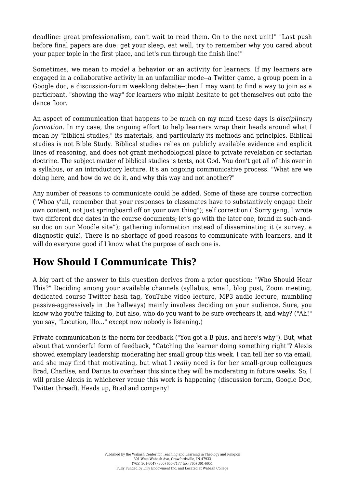deadline: great professionalism, can't wait to read them. On to the next unit!" "Last push before final papers are due: get your sleep, eat well, try to remember why you cared about your paper topic in the first place, and let's run through the finish line!"

Sometimes, we mean to *model* a behavior or an activity for learners. If my learners are engaged in a collaborative activity in an unfamiliar mode--a Twitter game, a group poem in a Google doc, a discussion-forum weeklong debate--then I may want to find a way to join as a participant, "showing the way" for learners who might hesitate to get themselves out onto the dance floor.

An aspect of communication that happens to be much on my mind these days is *disciplinary formation*. In my case, the ongoing effort to help learners wrap their heads around what I mean by "biblical studies," its materials, and particularly its methods and principles. Biblical studies is not Bible Study. Biblical studies relies on publicly available evidence and explicit lines of reasoning, and does not grant methodological place to private revelation or sectarian doctrine. The subject matter of biblical studies is texts, not God. You don't get all of this over in a syllabus, or an introductory lecture. It's an ongoing communicative process. "What are we doing here, and how do we do it, and why this way and not another?"

Any number of reasons to communicate could be added. Some of these are course correction ("Whoa y'all, remember that your responses to classmates have to substantively engage their own content, not just springboard off on your own thing"); self correction ("Sorry gang, I wrote two different due dates in the course documents; let's go with the later one, found in such-andso doc on our Moodle site"); gathering information instead of disseminating it (a survey, a diagnostic quiz). There is no shortage of good reasons to communicate with learners, and it will do everyone good if I know what the purpose of each one is.

## **How Should I Communicate This?**

A big part of the answer to this question derives from a prior question: "Who Should Hear This?" Deciding among your available channels (syllabus, email, blog post, Zoom meeting, dedicated course Twitter hash tag, YouTube video lecture, MP3 audio lecture, mumbling passive-aggressively in the hallways) mainly involves deciding on your audience. Sure, you know who you're talking to, but also, who do you want to be sure overhears it, and why? ("Ah!" you say, "Locution, illo..." except now nobody is listening.)

Private communication is the norm for feedback ("You got a B-plus, and here's why"). But, what about that wonderful form of feedback, "Catching the learner doing something right"? Alexis showed exemplary leadership moderating her small group this week. I can tell her so via email, and she may find that motivating, but what I *really* need is for her small-group colleagues Brad, Charlise, and Darius to overhear this since they will be moderating in future weeks. So, I will praise Alexis in whichever venue this work is happening (discussion forum, Google Doc, Twitter thread). Heads up, Brad and company!